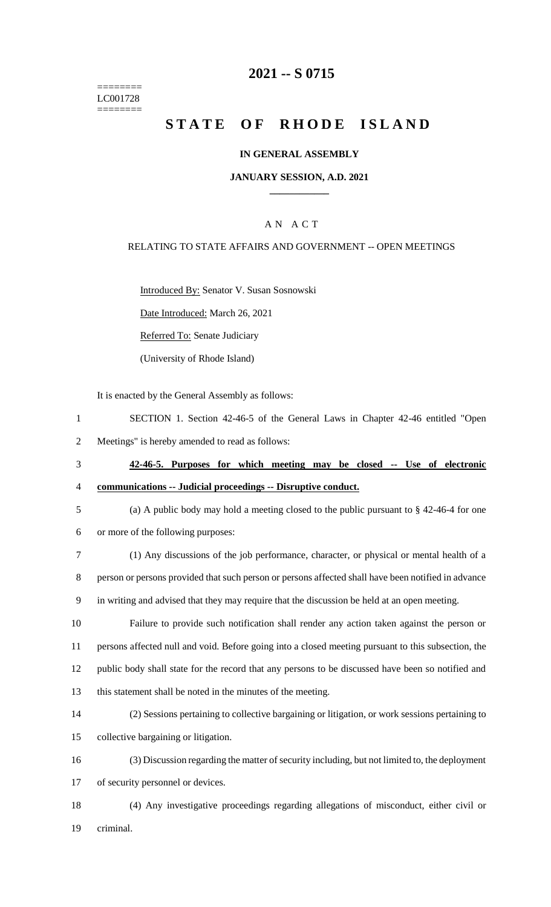======== LC001728 ========

## **2021 -- S 0715**

# **STATE OF RHODE ISLAND**

### **IN GENERAL ASSEMBLY**

#### **JANUARY SESSION, A.D. 2021 \_\_\_\_\_\_\_\_\_\_\_\_**

### A N A C T

### RELATING TO STATE AFFAIRS AND GOVERNMENT -- OPEN MEETINGS

Introduced By: Senator V. Susan Sosnowski

Date Introduced: March 26, 2021

Referred To: Senate Judiciary

(University of Rhode Island)

It is enacted by the General Assembly as follows:

| SECTION 1. Section 42-46-5 of the General Laws in Chapter 42-46 entitled "Open |  |
|--------------------------------------------------------------------------------|--|
| Meetings" is hereby amended to read as follows:                                |  |

- 3 **42-46-5. Purposes for which meeting may be closed -- Use of electronic**  4 **communications -- Judicial proceedings -- Disruptive conduct.**
- 

5 (a) A public body may hold a meeting closed to the public pursuant to § 42-46-4 for one

6 or more of the following purposes:

7 (1) Any discussions of the job performance, character, or physical or mental health of a 8 person or persons provided that such person or persons affected shall have been notified in advance

9 in writing and advised that they may require that the discussion be held at an open meeting.

 Failure to provide such notification shall render any action taken against the person or persons affected null and void. Before going into a closed meeting pursuant to this subsection, the public body shall state for the record that any persons to be discussed have been so notified and this statement shall be noted in the minutes of the meeting.

14 (2) Sessions pertaining to collective bargaining or litigation, or work sessions pertaining to 15 collective bargaining or litigation.

16 (3) Discussion regarding the matter of security including, but not limited to, the deployment 17 of security personnel or devices.

18 (4) Any investigative proceedings regarding allegations of misconduct, either civil or 19 criminal.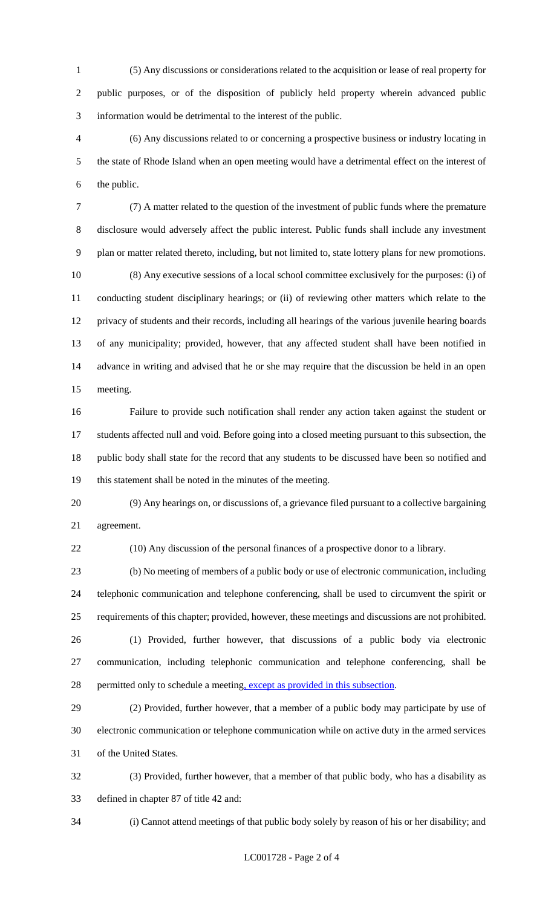(5) Any discussions or considerations related to the acquisition or lease of real property for public purposes, or of the disposition of publicly held property wherein advanced public information would be detrimental to the interest of the public.

 (6) Any discussions related to or concerning a prospective business or industry locating in the state of Rhode Island when an open meeting would have a detrimental effect on the interest of the public.

 (7) A matter related to the question of the investment of public funds where the premature disclosure would adversely affect the public interest. Public funds shall include any investment plan or matter related thereto, including, but not limited to, state lottery plans for new promotions. (8) Any executive sessions of a local school committee exclusively for the purposes: (i) of conducting student disciplinary hearings; or (ii) of reviewing other matters which relate to the privacy of students and their records, including all hearings of the various juvenile hearing boards of any municipality; provided, however, that any affected student shall have been notified in advance in writing and advised that he or she may require that the discussion be held in an open meeting.

 Failure to provide such notification shall render any action taken against the student or students affected null and void. Before going into a closed meeting pursuant to this subsection, the public body shall state for the record that any students to be discussed have been so notified and this statement shall be noted in the minutes of the meeting.

 (9) Any hearings on, or discussions of, a grievance filed pursuant to a collective bargaining agreement.

(10) Any discussion of the personal finances of a prospective donor to a library.

 (b) No meeting of members of a public body or use of electronic communication, including telephonic communication and telephone conferencing, shall be used to circumvent the spirit or requirements of this chapter; provided, however, these meetings and discussions are not prohibited. (1) Provided, further however, that discussions of a public body via electronic

 communication, including telephonic communication and telephone conferencing, shall be 28 permitted only to schedule a meeting, except as provided in this subsection.

 (2) Provided, further however, that a member of a public body may participate by use of electronic communication or telephone communication while on active duty in the armed services of the United States.

 (3) Provided, further however, that a member of that public body, who has a disability as defined in chapter 87 of title 42 and:

(i) Cannot attend meetings of that public body solely by reason of his or her disability; and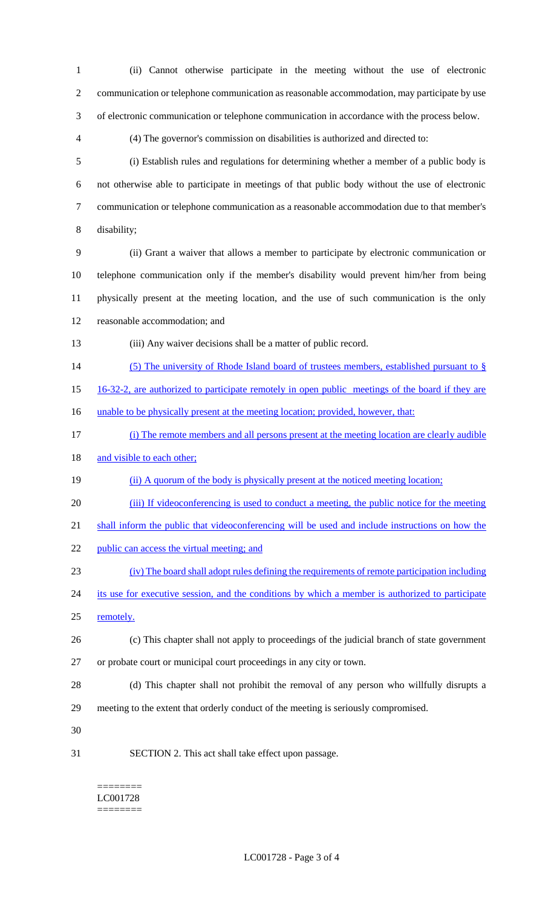(ii) Cannot otherwise participate in the meeting without the use of electronic communication or telephone communication as reasonable accommodation, may participate by use of electronic communication or telephone communication in accordance with the process below.

(4) The governor's commission on disabilities is authorized and directed to:

 (i) Establish rules and regulations for determining whether a member of a public body is not otherwise able to participate in meetings of that public body without the use of electronic communication or telephone communication as a reasonable accommodation due to that member's disability;

 (ii) Grant a waiver that allows a member to participate by electronic communication or telephone communication only if the member's disability would prevent him/her from being physically present at the meeting location, and the use of such communication is the only reasonable accommodation; and

- (iii) Any waiver decisions shall be a matter of public record.
- 14 (5) The university of Rhode Island board of trustees members, established pursuant to §
- 16-32-2, are authorized to participate remotely in open public meetings of the board if they are

16 unable to be physically present at the meeting location; provided, however, that:

(i) The remote members and all persons present at the meeting location are clearly audible

18 and visible to each other;

- 19 (ii) A quorum of the body is physically present at the noticed meeting location;
- (iii) If videoconferencing is used to conduct a meeting, the public notice for the meeting
- 21 shall inform the public that videoconferencing will be used and include instructions on how the
- 22 public can access the virtual meeting; and
- (iv) The board shall adopt rules defining the requirements of remote participation including
- 24 its use for executive session, and the conditions by which a member is authorized to participate remotely.
- (c) This chapter shall not apply to proceedings of the judicial branch of state government or probate court or municipal court proceedings in any city or town.
- (d) This chapter shall not prohibit the removal of any person who willfully disrupts a meeting to the extent that orderly conduct of the meeting is seriously compromised.
- 
- SECTION 2. This act shall take effect upon passage.

======== LC001728 ========